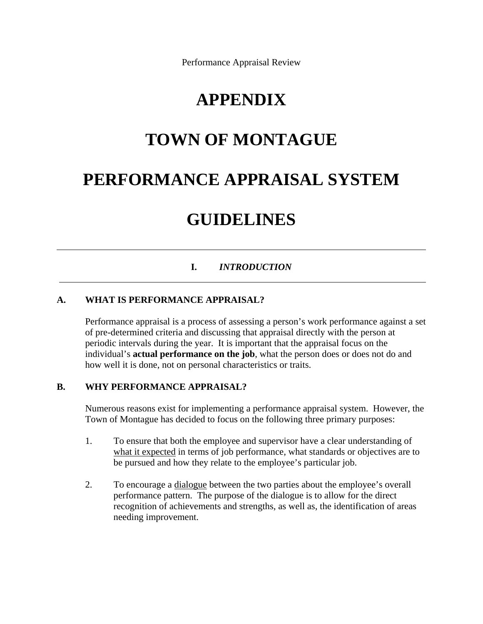Performance Appraisal Review

## **APPENDIX**

# **TOWN OF MONTAGUE**

# **PERFORMANCE APPRAISAL SYSTEM**

## **GUIDELINES**

## **I.** *INTRODUCTION*

## **A. WHAT IS PERFORMANCE APPRAISAL?**

 $\overline{a}$ 

Performance appraisal is a process of assessing a person's work performance against a set of pre-determined criteria and discussing that appraisal directly with the person at periodic intervals during the year. It is important that the appraisal focus on the individual's **actual performance on the job**, what the person does or does not do and how well it is done, not on personal characteristics or traits.

#### **B. WHY PERFORMANCE APPRAISAL?**

Numerous reasons exist for implementing a performance appraisal system. However, the Town of Montague has decided to focus on the following three primary purposes:

- 1. To ensure that both the employee and supervisor have a clear understanding of what it expected in terms of job performance, what standards or objectives are to be pursued and how they relate to the employee's particular job.
- 2. To encourage a dialogue between the two parties about the employee's overall performance pattern. The purpose of the dialogue is to allow for the direct recognition of achievements and strengths, as well as, the identification of areas needing improvement.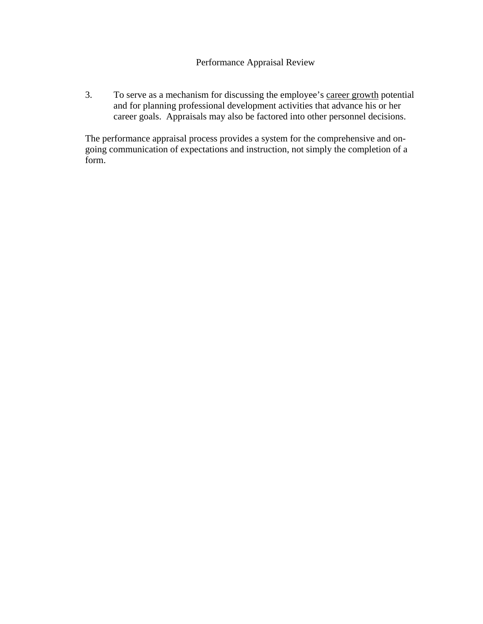3. To serve as a mechanism for discussing the employee's career growth potential and for planning professional development activities that advance his or her career goals. Appraisals may also be factored into other personnel decisions.

The performance appraisal process provides a system for the comprehensive and ongoing communication of expectations and instruction, not simply the completion of a form.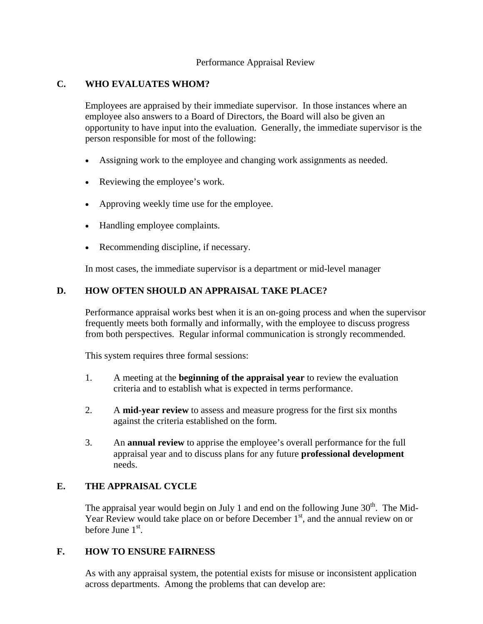### Performance Appraisal Review

## **C. WHO EVALUATES WHOM?**

Employees are appraised by their immediate supervisor. In those instances where an employee also answers to a Board of Directors, the Board will also be given an opportunity to have input into the evaluation. Generally, the immediate supervisor is the person responsible for most of the following:

- Assigning work to the employee and changing work assignments as needed.
- Reviewing the employee's work.
- Approving weekly time use for the employee.
- Handling employee complaints.
- Recommending discipline, if necessary.

In most cases, the immediate supervisor is a department or mid-level manager

## **D. HOW OFTEN SHOULD AN APPRAISAL TAKE PLACE?**

Performance appraisal works best when it is an on-going process and when the supervisor frequently meets both formally and informally, with the employee to discuss progress from both perspectives. Regular informal communication is strongly recommended.

This system requires three formal sessions:

- 1. A meeting at the **beginning of the appraisal year** to review the evaluation criteria and to establish what is expected in terms performance.
- 2. A **mid-year review** to assess and measure progress for the first six months against the criteria established on the form.
- 3. An **annual review** to apprise the employee's overall performance for the full appraisal year and to discuss plans for any future **professional development** needs.

## **E. THE APPRAISAL CYCLE**

The appraisal year would begin on July 1 and end on the following June  $30<sup>th</sup>$ . The Mid-Year Review would take place on or before December  $1<sup>st</sup>$ , and the annual review on or before June  $1<sup>st</sup>$ .

## **F. HOW TO ENSURE FAIRNESS**

As with any appraisal system, the potential exists for misuse or inconsistent application across departments. Among the problems that can develop are: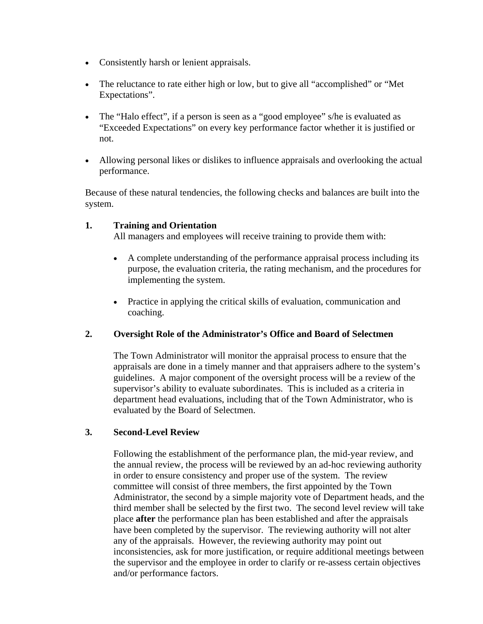- Consistently harsh or lenient appraisals.
- The reluctance to rate either high or low, but to give all "accomplished" or "Met Expectations".
- The "Halo effect", if a person is seen as a "good employee" s/he is evaluated as "Exceeded Expectations" on every key performance factor whether it is justified or not.
- Allowing personal likes or dislikes to influence appraisals and overlooking the actual performance.

Because of these natural tendencies, the following checks and balances are built into the system.

### **1. Training and Orientation**

All managers and employees will receive training to provide them with:

- A complete understanding of the performance appraisal process including its purpose, the evaluation criteria, the rating mechanism, and the procedures for implementing the system.
- Practice in applying the critical skills of evaluation, communication and coaching.

## **2. Oversight Role of the Administrator's Office and Board of Selectmen**

The Town Administrator will monitor the appraisal process to ensure that the appraisals are done in a timely manner and that appraisers adhere to the system's guidelines. A major component of the oversight process will be a review of the supervisor's ability to evaluate subordinates. This is included as a criteria in department head evaluations, including that of the Town Administrator, who is evaluated by the Board of Selectmen.

## **3. Second-Level Review**

Following the establishment of the performance plan, the mid-year review, and the annual review, the process will be reviewed by an ad-hoc reviewing authority in order to ensure consistency and proper use of the system. The review committee will consist of three members, the first appointed by the Town Administrator, the second by a simple majority vote of Department heads, and the third member shall be selected by the first two. The second level review will take place **after** the performance plan has been established and after the appraisals have been completed by the supervisor. The reviewing authority will not alter any of the appraisals. However, the reviewing authority may point out inconsistencies, ask for more justification, or require additional meetings between the supervisor and the employee in order to clarify or re-assess certain objectives and/or performance factors.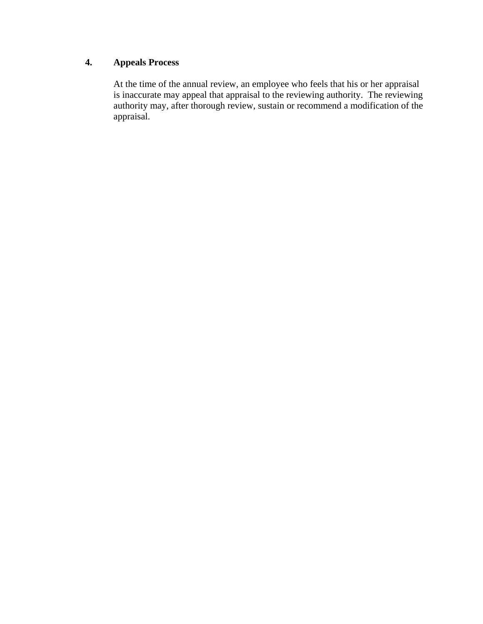## **4. Appeals Process**

At the time of the annual review, an employee who feels that his or her appraisal is inaccurate may appeal that appraisal to the reviewing authority. The reviewing authority may, after thorough review, sustain or recommend a modification of the appraisal.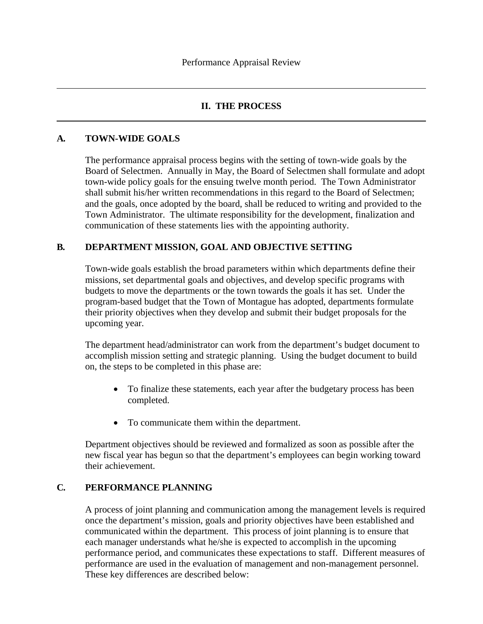## **II. THE PROCESS**

## **A***.* **TOWN-WIDE GOALS**

 $\overline{a}$ 

 $\overline{a}$ 

The performance appraisal process begins with the setting of town-wide goals by the Board of Selectmen. Annually in May, the Board of Selectmen shall formulate and adopt town-wide policy goals for the ensuing twelve month period. The Town Administrator shall submit his/her written recommendations in this regard to the Board of Selectmen; and the goals, once adopted by the board, shall be reduced to writing and provided to the Town Administrator. The ultimate responsibility for the development, finalization and communication of these statements lies with the appointing authority.

## **B***.* **DEPARTMENT MISSION, GOAL AND OBJECTIVE SETTING**

Town-wide goals establish the broad parameters within which departments define their missions, set departmental goals and objectives, and develop specific programs with budgets to move the departments or the town towards the goals it has set. Under the program-based budget that the Town of Montague has adopted, departments formulate their priority objectives when they develop and submit their budget proposals for the upcoming year.

The department head/administrator can work from the department's budget document to accomplish mission setting and strategic planning. Using the budget document to build on, the steps to be completed in this phase are:

- To finalize these statements, each year after the budgetary process has been completed.
- To communicate them within the department.

Department objectives should be reviewed and formalized as soon as possible after the new fiscal year has begun so that the department's employees can begin working toward their achievement.

## **C***.* **PERFORMANCE PLANNING**

A process of joint planning and communication among the management levels is required once the department's mission, goals and priority objectives have been established and communicated within the department. This process of joint planning is to ensure that each manager understands what he/she is expected to accomplish in the upcoming performance period, and communicates these expectations to staff. Different measures of performance are used in the evaluation of management and non-management personnel. These key differences are described below: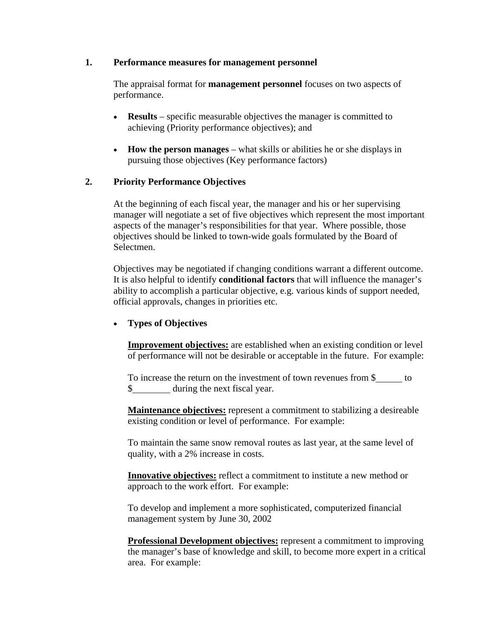#### **1. Performance measures for management personnel**

The appraisal format for **management personnel** focuses on two aspects of performance.

- **Results** specific measurable objectives the manager is committed to achieving (Priority performance objectives); and
- **How the person manages** what skills or abilities he or she displays in pursuing those objectives (Key performance factors)

## **2. Priority Performance Objectives**

At the beginning of each fiscal year, the manager and his or her supervising manager will negotiate a set of five objectives which represent the most important aspects of the manager's responsibilities for that year. Where possible, those objectives should be linked to town-wide goals formulated by the Board of Selectmen.

Objectives may be negotiated if changing conditions warrant a different outcome. It is also helpful to identify **conditional factors** that will influence the manager's ability to accomplish a particular objective, e.g. various kinds of support needed, official approvals, changes in priorities etc.

## • **Types of Objectives**

**Improvement objectives:** are established when an existing condition or level of performance will not be desirable or acceptable in the future. For example:

To increase the return on the investment of town revenues from \$ to \$ during the next fiscal year.

**Maintenance objectives:** represent a commitment to stabilizing a desireable existing condition or level of performance. For example:

To maintain the same snow removal routes as last year, at the same level of quality, with a 2% increase in costs.

**Innovative objectives:** reflect a commitment to institute a new method or approach to the work effort. For example:

To develop and implement a more sophisticated, computerized financial management system by June 30, 2002

**Professional Development objectives:** represent a commitment to improving the manager's base of knowledge and skill, to become more expert in a critical area. For example: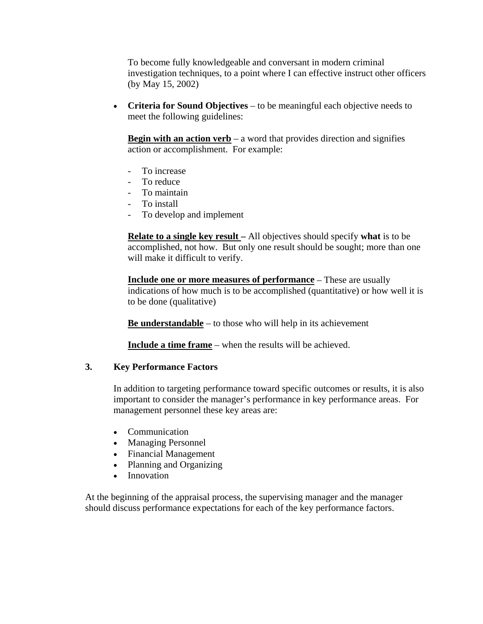To become fully knowledgeable and conversant in modern criminal investigation techniques, to a point where I can effective instruct other officers (by May 15, 2002)

• **Criteria for Sound Objectives** – to be meaningful each objective needs to meet the following guidelines:

**Begin with an action verb** – a word that provides direction and signifies action or accomplishment. For example:

- To increase
- To reduce
- To maintain
- To install
- To develop and implement

**Relate to a single key result –** All objectives should specify **what** is to be accomplished, not how. But only one result should be sought; more than one will make it difficult to verify.

**Include one or more measures of performance** – These are usually indications of how much is to be accomplished (quantitative) or how well it is to be done (qualitative)

**Be understandable** – to those who will help in its achievement

**Include a time frame** – when the results will be achieved.

## **3. Key Performance Factors**

In addition to targeting performance toward specific outcomes or results, it is also important to consider the manager's performance in key performance areas. For management personnel these key areas are:

- Communication
- Managing Personnel
- Financial Management
- Planning and Organizing
- Innovation

At the beginning of the appraisal process, the supervising manager and the manager should discuss performance expectations for each of the key performance factors.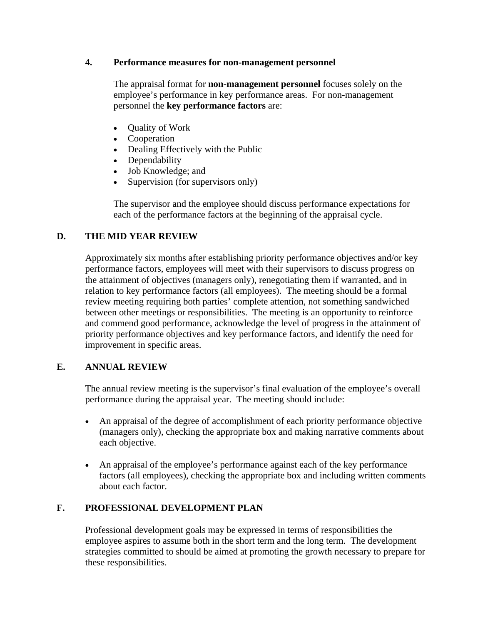### **4. Performance measures for non-management personnel**

The appraisal format for **non-management personnel** focuses solely on the employee's performance in key performance areas. For non-management personnel the **key performance factors** are:

- Quality of Work
- Cooperation
- Dealing Effectively with the Public
- Dependability
- Job Knowledge; and
- Supervision (for supervisors only)

The supervisor and the employee should discuss performance expectations for each of the performance factors at the beginning of the appraisal cycle.

## **D. THE MID YEAR REVIEW**

Approximately six months after establishing priority performance objectives and/or key performance factors, employees will meet with their supervisors to discuss progress on the attainment of objectives (managers only), renegotiating them if warranted, and in relation to key performance factors (all employees). The meeting should be a formal review meeting requiring both parties' complete attention, not something sandwiched between other meetings or responsibilities. The meeting is an opportunity to reinforce and commend good performance, acknowledge the level of progress in the attainment of priority performance objectives and key performance factors, and identify the need for improvement in specific areas.

## **E. ANNUAL REVIEW**

The annual review meeting is the supervisor's final evaluation of the employee's overall performance during the appraisal year. The meeting should include:

- An appraisal of the degree of accomplishment of each priority performance objective (managers only), checking the appropriate box and making narrative comments about each objective.
- An appraisal of the employee's performance against each of the key performance factors (all employees), checking the appropriate box and including written comments about each factor.

## **F. PROFESSIONAL DEVELOPMENT PLAN**

Professional development goals may be expressed in terms of responsibilities the employee aspires to assume both in the short term and the long term. The development strategies committed to should be aimed at promoting the growth necessary to prepare for these responsibilities.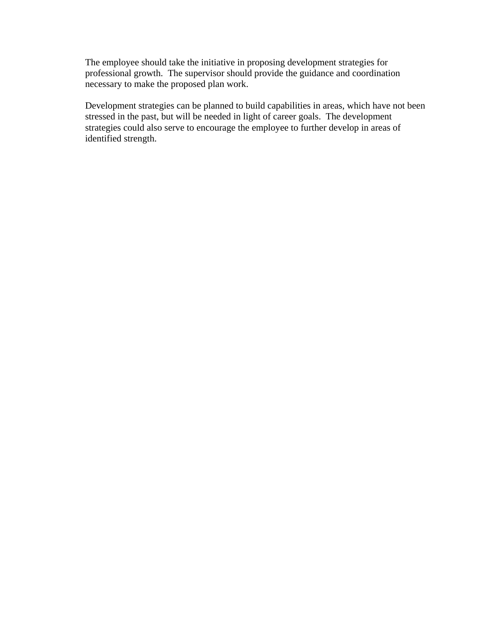The employee should take the initiative in proposing development strategies for professional growth. The supervisor should provide the guidance and coordination necessary to make the proposed plan work.

Development strategies can be planned to build capabilities in areas, which have not been stressed in the past, but will be needed in light of career goals. The development strategies could also serve to encourage the employee to further develop in areas of identified strength.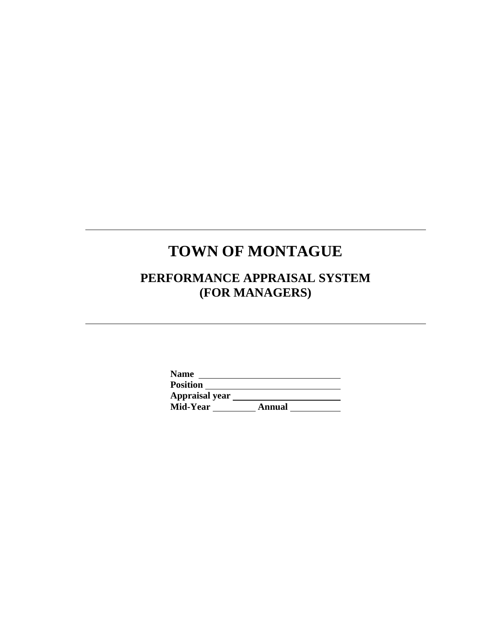# **TOWN OF MONTAGUE**

l

l

## **PERFORMANCE APPRAISAL SYSTEM (FOR MANAGERS)**

| <b>Name</b>           |        |
|-----------------------|--------|
| <b>Position</b>       |        |
| <b>Appraisal year</b> |        |
| Mid-Year              | Annual |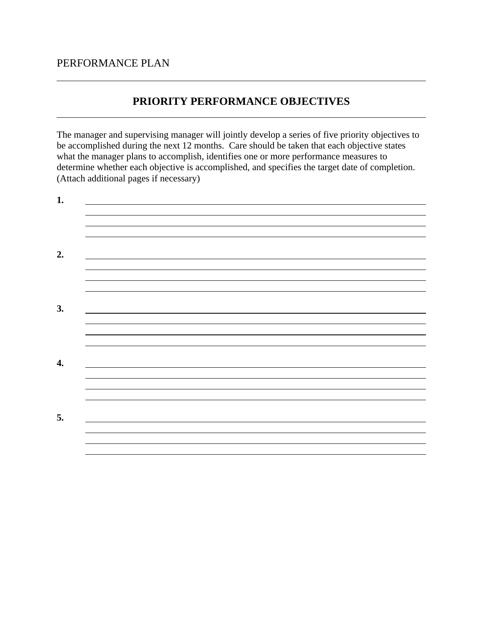## PERFORMANCE PLAN

## **PRIORITY PERFORMANCE OBJECTIVES**

The manager and supervising manager will jointly develop a series of five priority objectives to be accomplished during the next 12 months. Care should be taken that each objective states what the manager plans to accomplish, identifies one or more performance measures to determine whether each objective is accomplished, and specifies the target date of completion. (Attach additional pages if necessary)

| 1.                 |  |  |  |
|--------------------|--|--|--|
|                    |  |  |  |
| 2.                 |  |  |  |
|                    |  |  |  |
| 3.                 |  |  |  |
|                    |  |  |  |
| $\boldsymbol{4}$ . |  |  |  |
|                    |  |  |  |
| 5.                 |  |  |  |
|                    |  |  |  |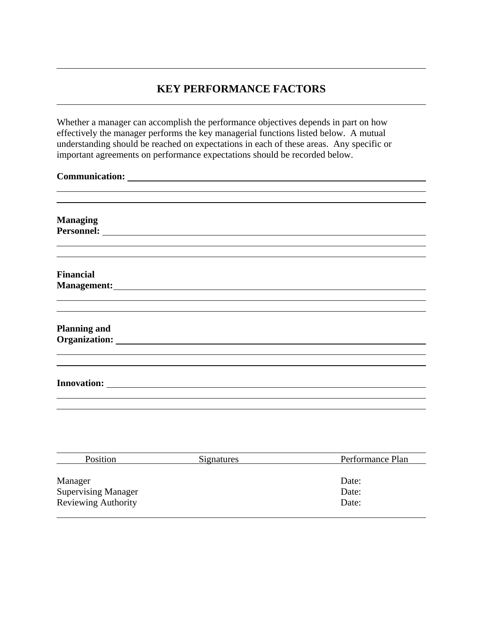## **KEY PERFORMANCE FACTORS**

Whether a manager can accomplish the performance objectives depends in part on how effectively the manager performs the key managerial functions listed below. A mutual understanding should be reached on expectations in each of these areas. Any specific or important agreements on performance expectations should be recorded below.

| <b>Managing</b>     |  |  |  |
|---------------------|--|--|--|
|                     |  |  |  |
|                     |  |  |  |
|                     |  |  |  |
| <b>Financial</b>    |  |  |  |
|                     |  |  |  |
|                     |  |  |  |
|                     |  |  |  |
|                     |  |  |  |
| <b>Planning and</b> |  |  |  |
|                     |  |  |  |
|                     |  |  |  |
|                     |  |  |  |
|                     |  |  |  |
|                     |  |  |  |
|                     |  |  |  |

| Position                   | <b>Signatures</b> | Performance Plan |
|----------------------------|-------------------|------------------|
|                            |                   |                  |
| Manager                    |                   | Date:            |
| <b>Supervising Manager</b> |                   | Date:            |
| <b>Reviewing Authority</b> |                   | Date:            |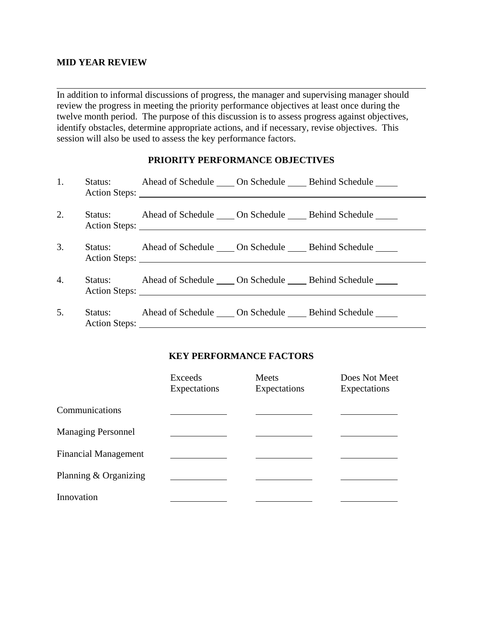#### **MID YEAR REVIEW**

 $\overline{a}$ 

In addition to informal discussions of progress, the manager and supervising manager should review the progress in meeting the priority performance objectives at least once during the twelve month period. The purpose of this discussion is to assess progress against objectives, identify obstacles, determine appropriate actions, and if necessary, revise objectives. This session will also be used to assess the key performance factors.

#### **PRIORITY PERFORMANCE OBJECTIVES**

| 1. | Status: Ahead of Schedule _____ On Schedule ______ Behind Schedule ______ |  |
|----|---------------------------------------------------------------------------|--|
| 2. | Status: Ahead of Schedule _____ On Schedule ______ Behind Schedule ______ |  |
| 3. | Status: Ahead of Schedule _____ On Schedule ______ Behind Schedule ______ |  |
| 4. | Status: Ahead of Schedule _____ On Schedule _____ Behind Schedule _____   |  |
| 5. | Status: Ahead of Schedule _____ On Schedule ______ Behind Schedule ______ |  |

## **KEY PERFORMANCE FACTORS**

|                             | Exceeds<br>Expectations | Meets<br>Expectations | Does Not Meet<br>Expectations |
|-----------------------------|-------------------------|-----------------------|-------------------------------|
| Communications              |                         |                       |                               |
| <b>Managing Personnel</b>   |                         |                       |                               |
| <b>Financial Management</b> |                         |                       |                               |
| Planning & Organizing       |                         |                       |                               |
| Innovation                  |                         |                       |                               |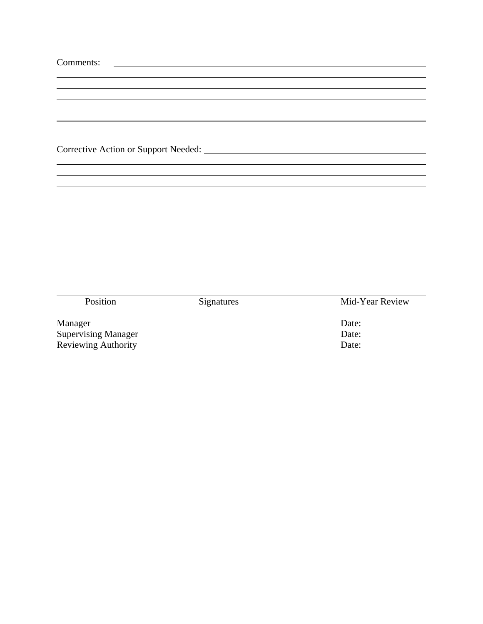| Comments: |
|-----------|
|-----------|

 $\overline{a}$ 

 $\overline{a}$ 

Corrective Action or Support Needed:

| Position                   | Signatures | Mid-Year Review |
|----------------------------|------------|-----------------|
|                            |            |                 |
| Manager                    |            | Date:           |
| <b>Supervising Manager</b> |            | Date:           |
| <b>Reviewing Authority</b> |            | Date:           |
|                            |            |                 |

and the control of the control of the control of the control of the control of the control of the control of the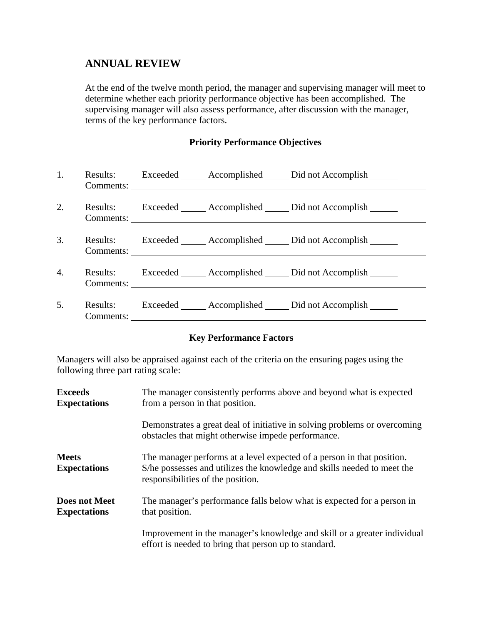## **ANNUAL REVIEW**

At the end of the twelve month period, the manager and supervising manager will meet to determine whether each priority performance objective has been accomplished. The supervising manager will also assess performance, after discussion with the manager, terms of the key performance factors.

### **Priority Performance Objectives**

| 1. |           | Results: Exceeded Accomplished Did not Accomplish      |
|----|-----------|--------------------------------------------------------|
| 2. |           | Results: Exceeded Accomplished Did not Accomplish      |
| 3. |           | Results: Exceeded <u>Complished</u> Did not Accomplish |
| 4. |           | Results: Exceeded Accomplished Did not Accomplish      |
| 5. | Comments: | Results: Exceeded Accomplished Did not Accomplish      |

## **Key Performance Factors**

Managers will also be appraised against each of the criteria on the ensuring pages using the following three part rating scale:

| <b>Exceeds</b><br><b>Expectations</b>       | The manager consistently performs above and beyond what is expected<br>from a person in that position.                                                                                 |  |  |
|---------------------------------------------|----------------------------------------------------------------------------------------------------------------------------------------------------------------------------------------|--|--|
|                                             | Demonstrates a great deal of initiative in solving problems or overcoming<br>obstacles that might otherwise impede performance.                                                        |  |  |
| <b>Meets</b><br><b>Expectations</b>         | The manager performs at a level expected of a person in that position.<br>S/he possesses and utilizes the knowledge and skills needed to meet the<br>responsibilities of the position. |  |  |
| <b>Does not Meet</b><br><b>Expectations</b> | The manager's performance falls below what is expected for a person in<br>that position.                                                                                               |  |  |
|                                             | Improvement in the manager's knowledge and skill or a greater individual<br>effort is needed to bring that person up to standard.                                                      |  |  |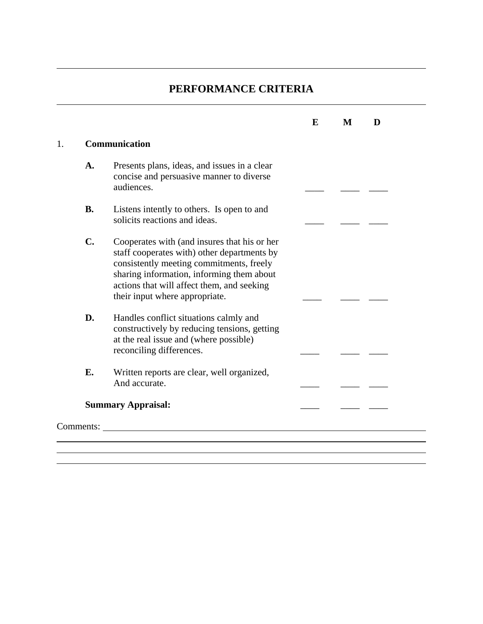## **PERFORMANCE CRITERIA**

|    |           |                                                                                                                                                                                                                                                                      | E | M | D |  |
|----|-----------|----------------------------------------------------------------------------------------------------------------------------------------------------------------------------------------------------------------------------------------------------------------------|---|---|---|--|
| 1. |           | Communication                                                                                                                                                                                                                                                        |   |   |   |  |
|    | A.        | Presents plans, ideas, and issues in a clear<br>concise and persuasive manner to diverse<br>audiences.                                                                                                                                                               |   |   |   |  |
|    | <b>B.</b> | Listens intently to others. Is open to and<br>solicits reactions and ideas.                                                                                                                                                                                          |   |   |   |  |
|    | C.        | Cooperates with (and insures that his or her<br>staff cooperates with) other departments by<br>consistently meeting commitments, freely<br>sharing information, informing them about<br>actions that will affect them, and seeking<br>their input where appropriate. |   |   |   |  |
|    | D.        | Handles conflict situations calmly and<br>constructively by reducing tensions, getting<br>at the real issue and (where possible)<br>reconciling differences.                                                                                                         |   |   |   |  |
|    | <b>E.</b> | Written reports are clear, well organized,<br>And accurate.                                                                                                                                                                                                          |   |   |   |  |
|    |           | <b>Summary Appraisal:</b>                                                                                                                                                                                                                                            |   |   |   |  |
|    | Comments: |                                                                                                                                                                                                                                                                      |   |   |   |  |
|    |           |                                                                                                                                                                                                                                                                      |   |   |   |  |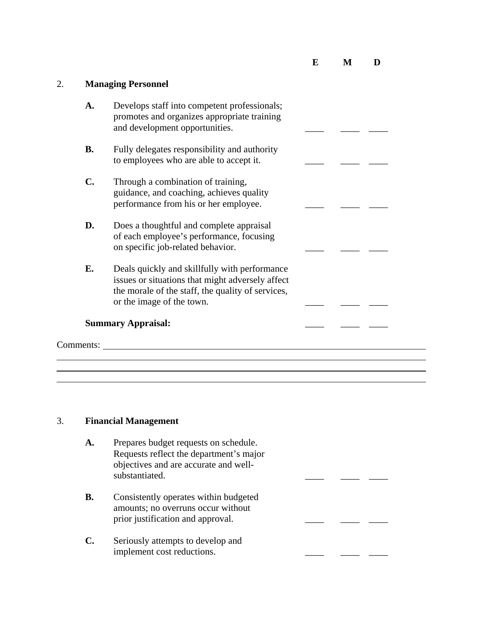**E M D** 

 $\overline{\phantom{a}}$ 

## 2. **Managing Personnel**

| A.             | Develops staff into competent professionals;<br>promotes and organizes appropriate training<br>and development opportunities.                                                       |  |  |
|----------------|-------------------------------------------------------------------------------------------------------------------------------------------------------------------------------------|--|--|
| <b>B.</b>      | Fully delegates responsibility and authority<br>to employees who are able to accept it.                                                                                             |  |  |
| $\mathbf{C}$ . | Through a combination of training,<br>guidance, and coaching, achieves quality<br>performance from his or her employee.                                                             |  |  |
| D.             | Does a thoughtful and complete appraisal<br>of each employee's performance, focusing<br>on specific job-related behavior.                                                           |  |  |
| E.             | Deals quickly and skillfully with performance<br>issues or situations that might adversely affect<br>the morale of the staff, the quality of services,<br>or the image of the town. |  |  |
|                | <b>Summary Appraisal:</b>                                                                                                                                                           |  |  |
| Comments:      |                                                                                                                                                                                     |  |  |

<u> 1989 - Johann Stoff, deutscher Stoffen und der Stoffen und der Stoffen und der Stoffen und der Stoffen und de</u>

## 3. **Financial Management**

| A. | Prepares budget requests on schedule.<br>Requests reflect the department's major<br>objectives and are accurate and well-<br>substantiated. |  |  |
|----|---------------------------------------------------------------------------------------------------------------------------------------------|--|--|
| В. | Consistently operates within budgeted<br>amounts; no overruns occur without<br>prior justification and approval.                            |  |  |
|    | Seriously attempts to develop and<br>implement cost reductions.                                                                             |  |  |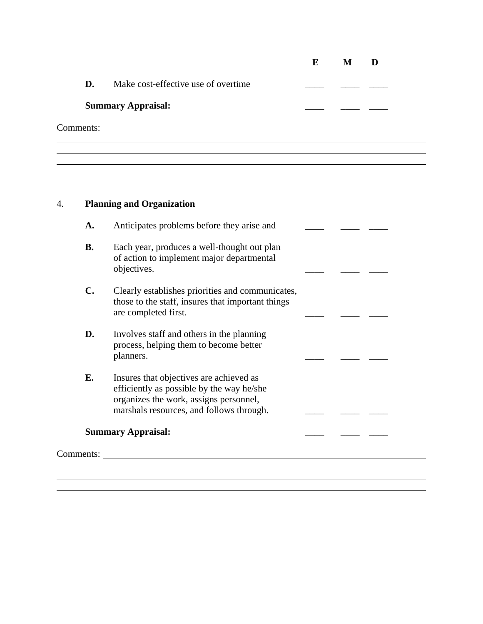|           |                                      | E | М |  |
|-----------|--------------------------------------|---|---|--|
| D.        | Make cost-effective use of overtime. |   |   |  |
|           | <b>Summary Appraisal:</b>            |   |   |  |
| Comments: |                                      |   |   |  |
|           |                                      |   |   |  |

## 4. **Planning and Organization**

| A.             | Anticipates problems before they arise and                                                                                                                                 |  |  |
|----------------|----------------------------------------------------------------------------------------------------------------------------------------------------------------------------|--|--|
| <b>B.</b>      | Each year, produces a well-thought out plan<br>of action to implement major departmental<br>objectives.                                                                    |  |  |
| $\mathbf{C}$ . | Clearly establishes priorities and communicates,<br>those to the staff, insures that important things<br>are completed first.                                              |  |  |
| D.             | Involves staff and others in the planning<br>process, helping them to become better<br>planners.                                                                           |  |  |
| Е.             | Insures that objectives are achieved as<br>efficiently as possible by the way he/she<br>organizes the work, assigns personnel,<br>marshals resources, and follows through. |  |  |
|                | <b>Summary Appraisal:</b>                                                                                                                                                  |  |  |
| Comments:      |                                                                                                                                                                            |  |  |
|                |                                                                                                                                                                            |  |  |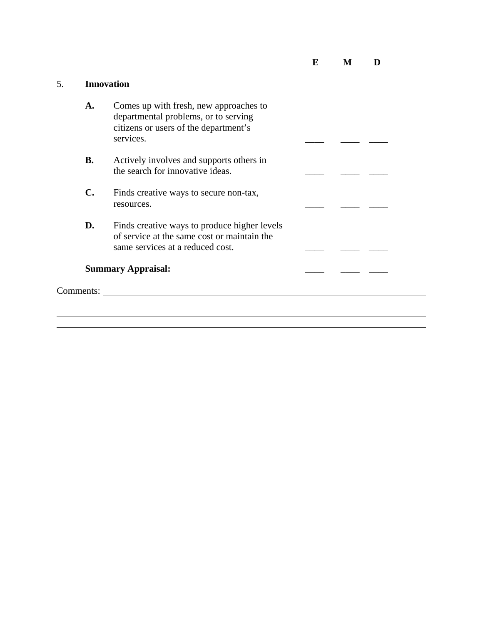5. **Innovation A.** Comes up with fresh, new approaches to departmental problems, or to serving citizens or users of the department's services. **B.** Actively involves and supports others in the search for innovative ideas. \_\_\_\_ \_\_\_\_ \_\_\_\_ **C.** Finds creative ways to secure non-tax, resources. \_\_\_\_ \_\_\_\_ \_\_\_\_ **D.** Finds creative ways to produce higher levels of service at the same cost or maintain the same services at a reduced cost. \_\_\_\_ \_\_\_\_ \_\_\_\_ **Summary Appraisal:**  $\qquad \qquad \qquad \qquad$ Comments: <u> 1989 - Johann Stoff, amerikansk politiker (\* 1908)</u>

 $\overline{a}$ 

**E M D**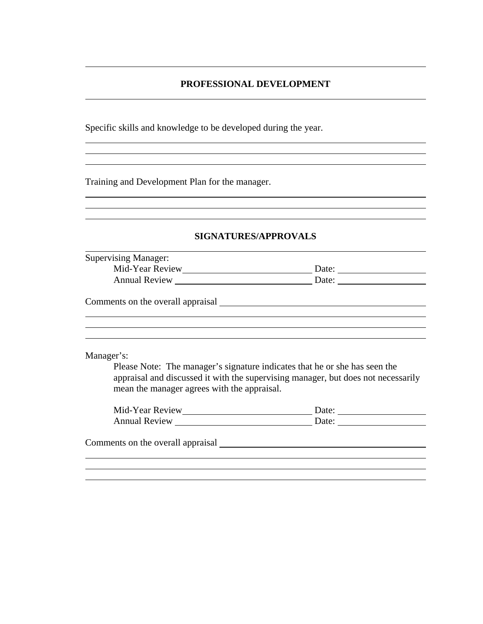#### **PROFESSIONAL DEVELOPMENT**

<u> 1989 - Johann Stoff, deutscher Stoffen und der Stoffen und der Stoffen und der Stoffen und der Stoffen und d</u>

Specific skills and knowledge to be developed during the year.

Training and Development Plan for the manager.

 $\overline{a}$ 

 $\overline{a}$  $\overline{a}$ 

 $\overline{a}$  $\overline{a}$ 

#### **SIGNATURES/APPROVALS**

| <b>Supervising Manager:</b>                 |                                                                                                                                                                 |
|---------------------------------------------|-----------------------------------------------------------------------------------------------------------------------------------------------------------------|
|                                             |                                                                                                                                                                 |
|                                             | Date:                                                                                                                                                           |
| Comments on the overall appraisal           |                                                                                                                                                                 |
|                                             |                                                                                                                                                                 |
|                                             |                                                                                                                                                                 |
|                                             |                                                                                                                                                                 |
| mean the manager agrees with the appraisal. | Please Note: The manager's signature indicates that he or she has seen the<br>appraisal and discussed it with the supervising manager, but does not necessarily |
| Manager's:                                  |                                                                                                                                                                 |
|                                             | Date:                                                                                                                                                           |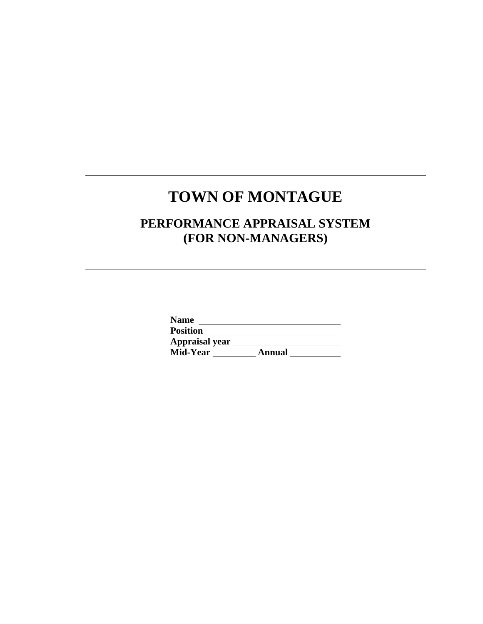## **TOWN OF MONTAGUE**

 $\overline{a}$ 

 $\overline{a}$ 

## **PERFORMANCE APPRAISAL SYSTEM (FOR NON-MANAGERS)**

| <b>Position</b> |        |
|-----------------|--------|
| Appraisal year  |        |
| Mid-Year        | Annual |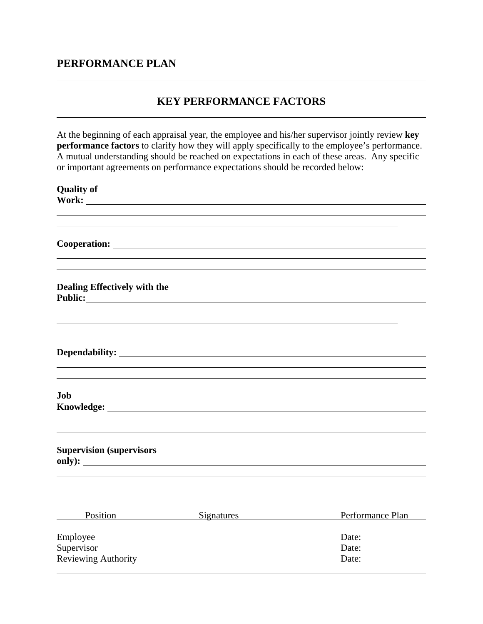## **PERFORMANCE PLAN**

## **KEY PERFORMANCE FACTORS**

At the beginning of each appraisal year, the employee and his/her supervisor jointly review **key performance factors** to clarify how they will apply specifically to the employee's performance. A mutual understanding should be reached on expectations in each of these areas. Any specific or important agreements on performance expectations should be recorded below:

| <b>Quality of</b>                   |                     |                  |
|-------------------------------------|---------------------|------------------|
| Work:                               |                     |                  |
|                                     |                     |                  |
|                                     |                     |                  |
|                                     |                     |                  |
|                                     |                     |                  |
|                                     |                     |                  |
|                                     |                     |                  |
| <b>Dealing Effectively with the</b> |                     |                  |
|                                     |                     |                  |
|                                     |                     |                  |
|                                     |                     |                  |
|                                     |                     |                  |
|                                     |                     |                  |
|                                     |                     |                  |
|                                     |                     |                  |
| Job                                 |                     |                  |
|                                     |                     |                  |
|                                     |                     |                  |
|                                     |                     |                  |
|                                     |                     |                  |
| <b>Supervision (supervisors</b>     |                     |                  |
|                                     |                     |                  |
|                                     |                     |                  |
|                                     |                     |                  |
|                                     |                     |                  |
|                                     | Position Signatures | Performance Plan |
|                                     |                     |                  |
| Employee                            |                     | Date:            |
| Supervisor                          |                     | Date:            |
| <b>Reviewing Authority</b>          |                     | Date:            |
|                                     |                     |                  |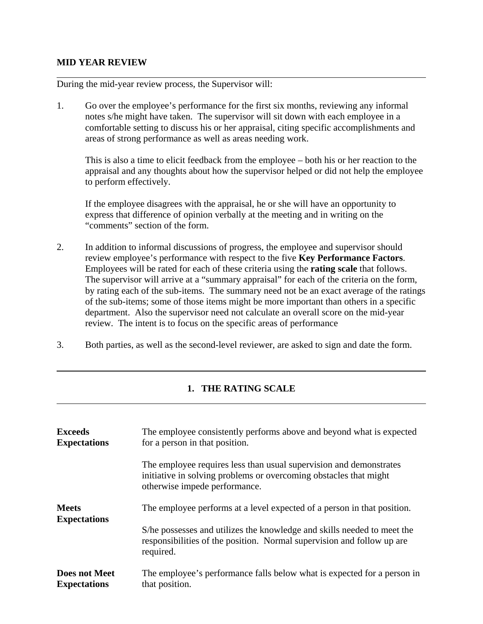#### **MID YEAR REVIEW**

l

 $\overline{a}$ 

 $\overline{a}$ 

During the mid-year review process, the Supervisor will:

1. Go over the employee's performance for the first six months, reviewing any informal notes s/he might have taken. The supervisor will sit down with each employee in a comfortable setting to discuss his or her appraisal, citing specific accomplishments and areas of strong performance as well as areas needing work.

This is also a time to elicit feedback from the employee – both his or her reaction to the appraisal and any thoughts about how the supervisor helped or did not help the employee to perform effectively.

If the employee disagrees with the appraisal, he or she will have an opportunity to express that difference of opinion verbally at the meeting and in writing on the "comments" section of the form.

- 2. In addition to informal discussions of progress, the employee and supervisor should review employee's performance with respect to the five **Key Performance Factors**. Employees will be rated for each of these criteria using the **rating scale** that follows. The supervisor will arrive at a "summary appraisal" for each of the criteria on the form, by rating each of the sub-items. The summary need not be an exact average of the ratings of the sub-items; some of those items might be more important than others in a specific department. Also the supervisor need not calculate an overall score on the mid-year review. The intent is to focus on the specific areas of performance
- 3. Both parties, as well as the second-level reviewer, are asked to sign and date the form.

## **1. THE RATING SCALE**

| <b>Exceeds</b><br><b>Expectations</b>       | The employee consistently performs above and beyond what is expected<br>for a person in that position.                                                                   |
|---------------------------------------------|--------------------------------------------------------------------------------------------------------------------------------------------------------------------------|
|                                             | The employee requires less than usual supervision and demonstrates<br>initiative in solving problems or overcoming obstacles that might<br>otherwise impede performance. |
| <b>Meets</b><br><b>Expectations</b>         | The employee performs at a level expected of a person in that position.                                                                                                  |
|                                             | S/he possesses and utilizes the knowledge and skills needed to meet the<br>responsibilities of the position. Normal supervision and follow up are<br>required.           |
| <b>Does not Meet</b><br><b>Expectations</b> | The employee's performance falls below what is expected for a person in<br>that position.                                                                                |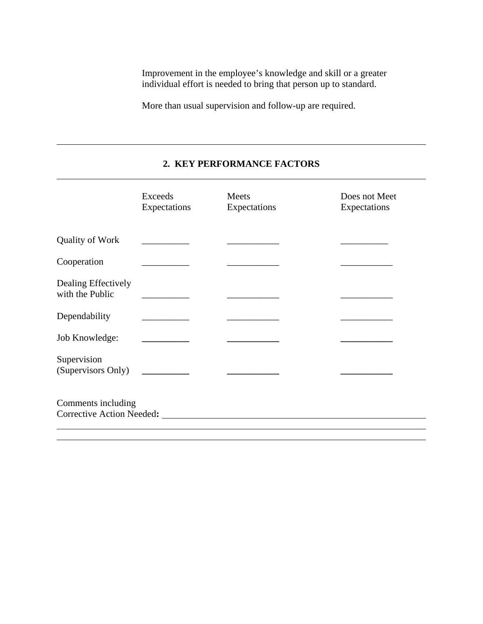Improvement in the employee's knowledge and skill or a greater individual effort is needed to bring that person up to standard.

More than usual supervision and follow-up are required.

## **2. KEY PERFORMANCE FACTORS**

|                                               | Exceeds<br>Expectations                 | Meets<br>Expectations | Does not Meet<br>Expectations |
|-----------------------------------------------|-----------------------------------------|-----------------------|-------------------------------|
| <b>Quality of Work</b>                        |                                         |                       |                               |
| Cooperation                                   |                                         |                       |                               |
| Dealing Effectively<br>with the Public        |                                         |                       |                               |
| Dependability                                 |                                         |                       |                               |
| Job Knowledge:                                |                                         |                       |                               |
| Supervision<br>(Supervisors Only) ___________ |                                         |                       |                               |
| Comments including                            | Corrective Action Needed: New York 1988 |                       |                               |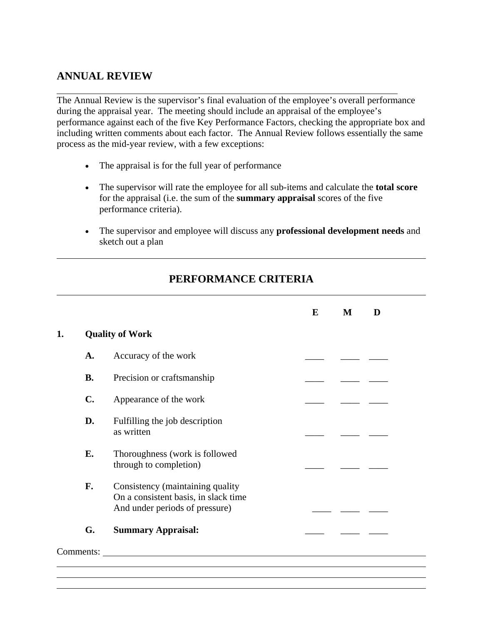## **ANNUAL REVIEW**

The Annual Review is the supervisor's final evaluation of the employee's overall performance during the appraisal year. The meeting should include an appraisal of the employee's performance against each of the five Key Performance Factors, checking the appropriate box and including written comments about each factor. The Annual Review follows essentially the same process as the mid-year review, with a few exceptions:

- The appraisal is for the full year of performance
- The supervisor will rate the employee for all sub-items and calculate the **total score** for the appraisal (i.e. the sum of the **summary appraisal** scores of the five performance criteria).
- The supervisor and employee will discuss any **professional development needs** and sketch out a plan

## **PERFORMANCE CRITERIA**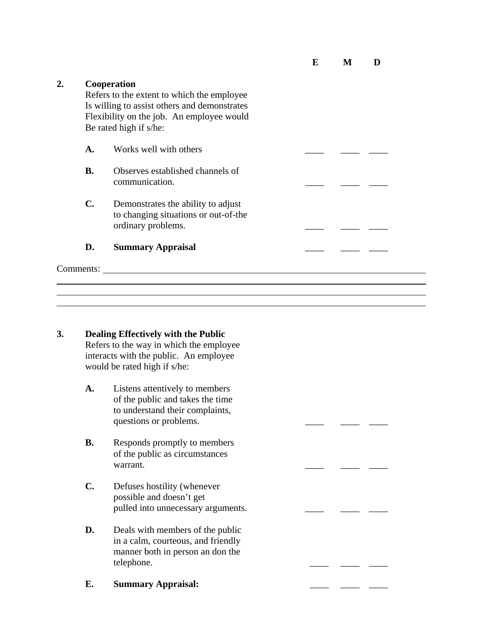**E M D** 

**2. Cooperation**  Refers to the extent to which the employee Is willing to assist others and demonstrates Flexibility on the job. An employee would Be rated high if s/he: A. Works well with others **B.** Observes established channels of communication. **C.** Demonstrates the ability to adjust to changing situations or out-of-the ordinary problems. **D.** Summary Appraisal Comments:

**3. Dealing Effectively with the Public** Refers to the way in which the employee interacts with the public. An employee would be rated high if s/he:

l

- **A.** Listens attentively to members of the public and takes the time to understand their complaints, questions or problems.
- **B.** Responds promptly to members of the public as circumstances warrant.  $\frac{1}{\sqrt{2}}$  and  $\frac{1}{\sqrt{2}}$  and  $\frac{1}{\sqrt{2}}$  and  $\frac{1}{\sqrt{2}}$  and  $\frac{1}{\sqrt{2}}$  and  $\frac{1}{\sqrt{2}}$  and  $\frac{1}{\sqrt{2}}$  and  $\frac{1}{\sqrt{2}}$  and  $\frac{1}{\sqrt{2}}$  and  $\frac{1}{\sqrt{2}}$  and  $\frac{1}{\sqrt{2}}$  and  $\frac{1}{\sqrt{2}}$  and  $\frac{1}{\sqrt$
- **C.** Defuses hostility (whenever possible and doesn't get pulled into unnecessary arguments.
- **D.** Deals with members of the public in a calm, courteous, and friendly manner both in person an don the telephone.
- **E.** Summary Appraisal: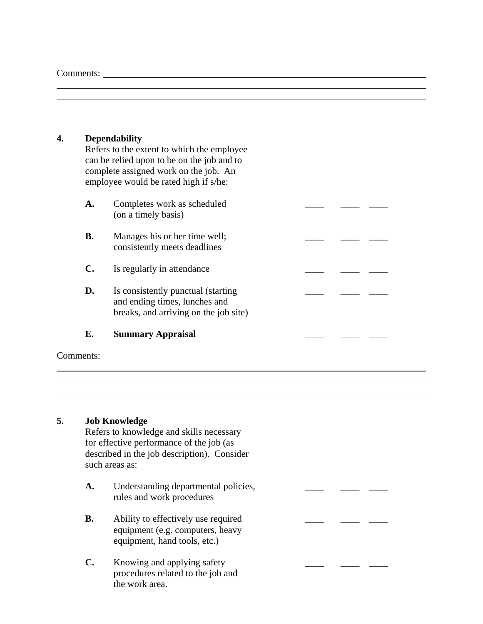Comments:

 $\overline{a}$ 

#### **4. Dependability**

Refers to the extent to which the employee can be relied upon to be on the job and to complete assigned work on the job. An employee would be rated high if s/he:

| A.        | Completes work as scheduled<br>(on a timely basis)                                                            |  |  |
|-----------|---------------------------------------------------------------------------------------------------------------|--|--|
| <b>B.</b> | Manages his or her time well;<br>consistently meets deadlines                                                 |  |  |
| C.        | Is regularly in attendance                                                                                    |  |  |
| D.        | Is consistently punctual (starting)<br>and ending times, lunches and<br>breaks, and arriving on the job site) |  |  |
| Е.        | <b>Summary Appraisal</b>                                                                                      |  |  |

Comments:

l

### **5. Job Knowledge**

Refers to knowledge and skills necessary for effective performance of the job (as described in the job description). Consider such areas as:

- A. Understanding departmental policies, rules and work procedures
- **B.** Ability to effectively use required equipment (e.g. computers, heavy equipment, hand tools, etc.)
- **C.** Knowing and applying safety procedures related to the job and the work area.